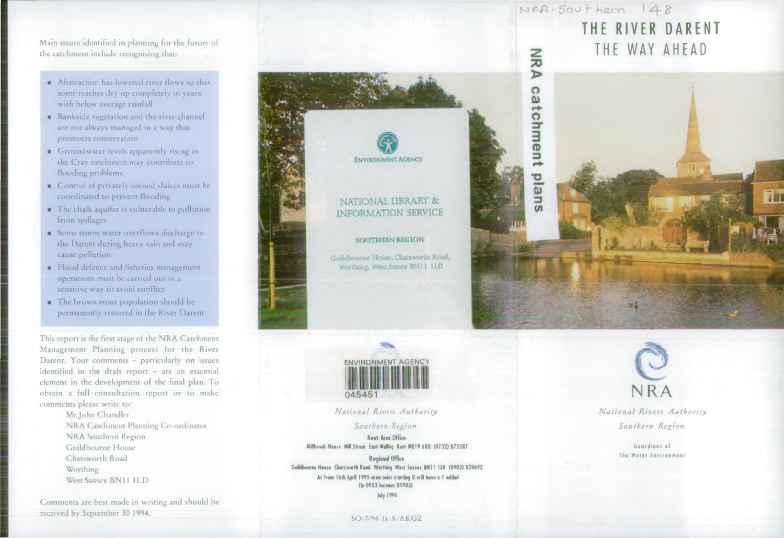Main issues identified in planning for the future of the catchment include recognising that:

- Abstraction has lowered river flows so that some reaches dry up completely in years with below average rainfall
- Bankside vegetation and the river channel arc not always managed in a way that prom otes conservation
- Groundwater levels apparently rising in the Cray catchment may contribute to flooding problems
- Control of privately owned sluiccs must be coordinated to prevent flooding
- The chalk aquifer is vulnerable to pollution from spillages
- Some storm water overflows discharge to the Darent during heavy rain and may cause pollution
- Flood defence and fisheries management operations must be carried out in a sensitive way to avoid conflict
- The brown trout population should be permanently restored in the River Darent

This report is the first stage of the NRA Catchment Management Planning process for the River Darent. Your comments - particularly on issues  $identified$  in the draft report  $-$  are an essential element in the development of the final plan. To obtain a full consultation report or to make comments please write to:

> Mr John Chandler NRA Catchment Planning Co-ordinator NRA Southern Region Guildbourne House Chatsworth Road **Worthing** West Sussex BN11 1LD

Comments are best made in writing and should be received by September 30 1994.





*N ational Rivers Authority*

*Southern Region* Kent Area Office

Millbrook House Mill Street East Malling Kent ME19 60U (0732) 875587

Regional Office Guidhourne House Chatsworth Road Worthing West Sassex BN11 ILD (0903) 820692 As from 16th April 1995 area codes storting 0 will have a 1 odded (ie 0903 becomes 01903) Joiy 1994

# $NFA-SovHern 148$ THE RIVER DARENT **THE WAY AHEAD**





*N ational Rivers Authority Southern Region*

> Guardians of The Water Environment

SO-7/94-1k-A-AKGZ